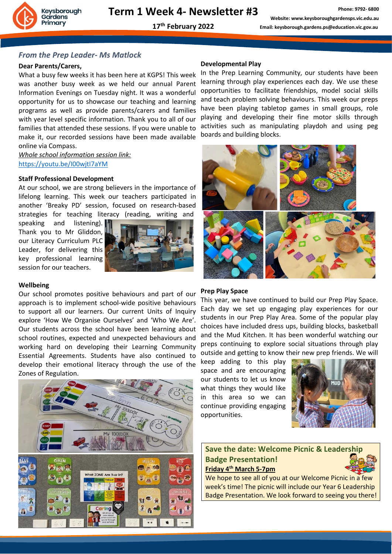

## *From the Prep Leader- Ms Matlock*

## **Dear Parents/Carers,**

What a busy few weeks it has been here at KGPS! This week was another busy week as we held our annual Parent Information Evenings on Tuesday night. It was a wonderful opportunity for us to showcase our teaching and learning programs as well as provide parents/carers and families with year level specific information. Thank you to all of our families that attended these sessions. If you were unable to make it, our recorded sessions have been made available online via Compass.

*Whole school information session link:* [https://youtu.be/I00wjtI7aYM](https://aus01.safelinks.protection.outlook.com/?url=https%3A%2F%2Fyoutu.be%2FI00wjtI7aYM&data=04%7C01%7Cselen.asi%40education.vic.gov.au%7Cd7f905e7e64749b3e00908d9f1d22cf1%7Cd96cb3371a8744cfb69b3cec334a4c1f%7C0%7C0%7C637806707278925415%7CUnknown%7CTWFpbGZsb3d8eyJWIjoiMC4wLjAwMDAiLCJQIjoiV2luMzIiLCJBTiI6Ik1haWwiLCJXVCI6Mn0%3D%7C3000&sdata=1%2BPQuNG0tY9xZs4UjHylB0hrCrxNoT1EcpOiEAard4c%3D&reserved=0)

## **Staff Professional Development**

At our school, we are strong believers in the importance of lifelong learning. This week our teachers participated in another 'Breaky PD' session, focused on research-based strategies for teaching literacy (reading, writing and

speaking and listening). Thank you to Mr Gliddon, our Literacy Curriculum PLC Leader, for delivering this key professional learning session for our teachers.



### **Wellbeing**

Our school promotes positive behaviours and part of our approach is to implement school-wide positive behaviours to support all our learners. Our current Units of Inquiry explore 'How We Organise Ourselves' and 'Who We Are'. Our students across the school have been learning about school routines, expected and unexpected behaviours and working hard on developing their Learning Community Essential Agreements. Students have also continued to develop their emotional literacy through the use of the Zones of Regulation.



#### **Developmental Play**

In the Prep Learning Community, our students have been learning through play experiences each day. We use these opportunities to facilitate friendships, model social skills and teach problem solving behaviours. This week our preps have been playing tabletop games in small groups, role playing and developing their fine motor skills through activities such as manipulating playdoh and using peg boards and building blocks.



### **Prep Play Space**

This year, we have continued to build our Prep Play Space. Each day we set up engaging play experiences for our students in our Prep Play Area. Some of the popular play choices have included dress ups, building blocks, basketball and the Mud Kitchen. It has been wonderful watching our preps continuing to explore social situations through play outside and getting to know their new prep friends. We will

keep adding to this play space and are encouraging our students to let us know what things they would like in this area so we can continue providing engaging opportunities.



# **Save the date: Welcome Picnic & Leadership Badge Presentation! Friday 4th March 5-7pm**

We hope to see all of you at our Welcome Picnic in a few week's time! The picnic will include our Year 6 Leadership Badge Presentation. We look forward to seeing you there!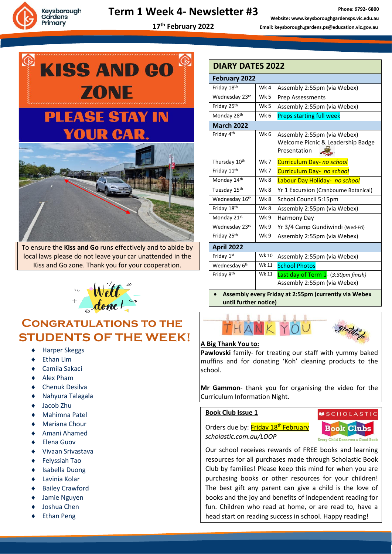

# **Term 1 Week 4- Newsletter #3**

**17 th February 2022**



To ensure the **Kiss and Go** runs effectively and to abide by local laws please do not leave your car unattended in the Kiss and Go zone. Thank you for your cooperation.



# **Congratulations to the STUDENTS OF THE WEEK!**

- Harper Skeggs
- Ethan Lim
- Camila Sakaci
- Alex Pham
- Chenuk Desilva
- Nahyura Talagala
- Jacob Zhu
- Mahimna Patel
- Mariana Chour
- Amani Ahamed
- Elena Guov
- Vivaan Srivastava
- Felyssiah Tao
- Isabella Duong
- Lavinia Kolar
- Bailey Crawford
- Jamie Nguyen
- Joshua Chen
- Ethan Peng

| <b>DIARY DATES 2022</b>                              |       |                                                                                  |
|------------------------------------------------------|-------|----------------------------------------------------------------------------------|
| <b>February 2022</b>                                 |       |                                                                                  |
| Friday 18th                                          | Wk4   | Assembly 2:55pm (via Webex)                                                      |
| Wednesday 23rd                                       | Wk 5  | Prep Assessments                                                                 |
| Friday 25th                                          | Wk 5  | Assembly 2:55pm (via Webex)                                                      |
| Monday 28th                                          | Wk 6  | <b>Preps starting full week</b>                                                  |
| <b>March 2022</b>                                    |       |                                                                                  |
| Friday 4th                                           | Wk 6  | Assembly 2:55pm (via Webex)<br>Welcome Picnic & Leadership Badge<br>Presentation |
| Thursday 10th                                        | Wk 7  | Curriculum Day- no school                                                        |
| Friday 11 <sup>th</sup>                              | Wk 7  | Curriculum Day- no school                                                        |
| Monday 14th                                          | Wk8   | Labour Day Holiday- no school                                                    |
| Tuesday 15th                                         | Wk8   | Yr 1 Excursion (Cranbourne Botanical)                                            |
| Wednesday 16th                                       | Wk 8  | School Council 5:15pm                                                            |
| Friday 18th                                          | Wk 8  | Assembly 2:55pm (via Webex)                                                      |
| Monday 21st                                          | Wk 9  | Harmony Day                                                                      |
| Wednesday 23rd                                       | Wk 9  | Yr 3/4 Camp Gundiwindi (Wed-Fri)                                                 |
| Friday 25th                                          | Wk 9  | Assembly 2:55pm (via Webex)                                                      |
| <b>April 2022</b>                                    |       |                                                                                  |
| Friday 1st                                           | Wk 10 | Assembly 2:55pm (via Webex)                                                      |
| Wednesday 6th                                        | Wk 11 | <b>School Photos</b>                                                             |
| Friday 8th                                           | Wk 11 | Last day of Term 1- (3:30pm finish)<br>Assembly 2:55pm (via Webex)               |
| Assembly every Friday at 2:55pm (currently via Webex |       |                                                                                  |

**until further notice)**



## **A Big Thank You to:**

**Pawlovski** family- for treating our staff with yummy baked muffins and for donating 'Koh' cleaning products to the school.

**Mr Gammon**- thank you for organising the video for the Curriculum Information Night.

## **Book Club Issue 1**



Orders due by: Friday 18<sup>th</sup> February *scholastic.com.au/LOOP*

Our school receives rewards of FREE books and learning resources for all purchases made through Scholastic Book Club by families! Please keep this mind for when you are purchasing books or other resources for your children! The best gift any parent can give a child is the love of books and the joy and benefits of independent reading for fun. Children who read at home, or are read to, have a head start on reading success in school. Happy reading!